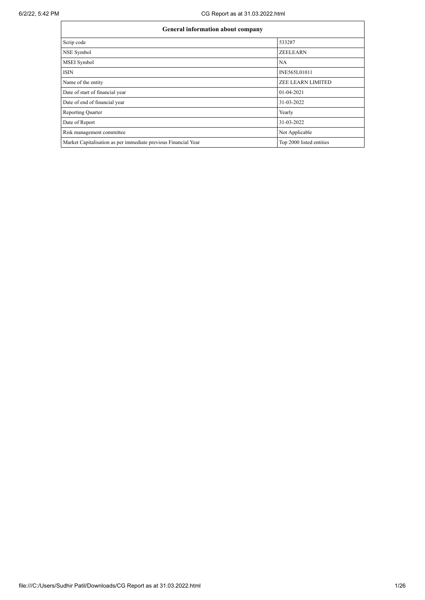| General information about company                              |                          |  |  |  |  |  |
|----------------------------------------------------------------|--------------------------|--|--|--|--|--|
| Scrip code                                                     | 533287                   |  |  |  |  |  |
| NSE Symbol                                                     | <b>ZEELEARN</b>          |  |  |  |  |  |
| MSEI Symbol                                                    | NA                       |  |  |  |  |  |
| <b>ISIN</b>                                                    | INE565L01011             |  |  |  |  |  |
| Name of the entity                                             | ZEE LEARN LIMITED        |  |  |  |  |  |
| Date of start of financial year                                | 01-04-2021               |  |  |  |  |  |
| Date of end of financial year                                  | 31-03-2022               |  |  |  |  |  |
| <b>Reporting Quarter</b>                                       | Yearly                   |  |  |  |  |  |
| Date of Report                                                 | 31-03-2022               |  |  |  |  |  |
| Risk management committee                                      | Not Applicable           |  |  |  |  |  |
| Market Capitalisation as per immediate previous Financial Year | Top 2000 listed entities |  |  |  |  |  |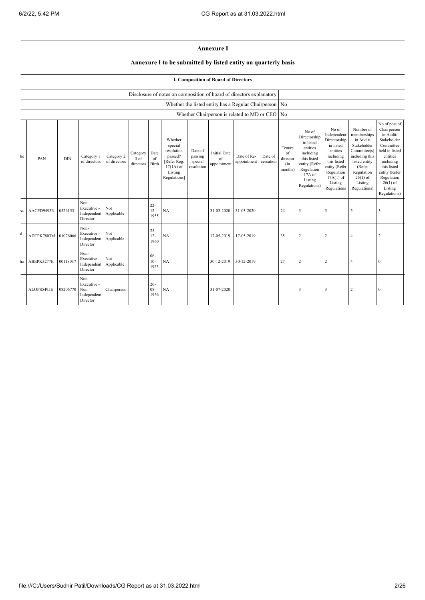## **Annexure I**

## **Annexure I to be submitted by listed entity on quarterly basis**

## **I. Composition of Board of Directors**

|              |            |            |                                                       |                            |                               |                          | Disclosure of notes on composition of board of directors explanatory                                 |                                             |                                                          |                            |                      |                                                    |                                                                                                                                                |                                                                                                                                                                   |                                                                                                                                                                          |                                                                                                                                                                                                         |
|--------------|------------|------------|-------------------------------------------------------|----------------------------|-------------------------------|--------------------------|------------------------------------------------------------------------------------------------------|---------------------------------------------|----------------------------------------------------------|----------------------------|----------------------|----------------------------------------------------|------------------------------------------------------------------------------------------------------------------------------------------------|-------------------------------------------------------------------------------------------------------------------------------------------------------------------|--------------------------------------------------------------------------------------------------------------------------------------------------------------------------|---------------------------------------------------------------------------------------------------------------------------------------------------------------------------------------------------------|
|              |            |            |                                                       |                            |                               |                          |                                                                                                      |                                             | Whether the listed entity has a Regular Chairperson   No |                            |                      |                                                    |                                                                                                                                                |                                                                                                                                                                   |                                                                                                                                                                          |                                                                                                                                                                                                         |
|              |            |            |                                                       |                            |                               |                          |                                                                                                      |                                             | Whether Chairperson is related to MD or CEO No           |                            |                      |                                                    |                                                                                                                                                |                                                                                                                                                                   |                                                                                                                                                                          |                                                                                                                                                                                                         |
| he           | PAN        | <b>DIN</b> | Category 1<br>of directors                            | Category 2<br>of directors | Category<br>3 of<br>directors | Date<br>of<br>Birth      | Whether<br>special<br>resolution<br>passed?<br>[Refer Reg.<br>$17(1A)$ of<br>Listing<br>Regulations] | Date of<br>passing<br>special<br>resolution | <b>Initial Date</b><br>of<br>appointment                 | Date of Re-<br>appointment | Date of<br>cessation | Tenure<br>$\sigma$ f<br>director<br>(in<br>months) | No of<br>Directorship<br>in listed<br>entities<br>including<br>this listed<br>entity (Refer<br>Regulation<br>17A of<br>Listing<br>Regulations) | No of<br>Independent<br>Directorship<br>in listed<br>entities<br>including<br>this listed<br>entity (Refer<br>Regulation<br>$17A(1)$ of<br>Listing<br>Regulations | Number of<br>memberships<br>in Audit/<br>Stakeholder<br>Committee(s)<br>including this<br>listed entity<br>(Refer<br>Regulation<br>$26(1)$ of<br>Listing<br>Regulations) | No of post of<br>Chairperson<br>in Audit/<br>Stakeholder<br>Committee<br>held in listed<br>entities<br>including<br>this listed<br>entity (Refer<br>Regulation<br>$26(1)$ of<br>Listing<br>Regulations) |
| sa           | AACPD9495N | 05261531   | Non-<br>Executive -<br>Independent<br>Director        | Not<br>Applicable          |                               | $22 -$<br>$12 -$<br>1955 | NA                                                                                                   |                                             | 31-03-2020                                               | 31-03-2020                 |                      | 24                                                 | 3                                                                                                                                              | 3                                                                                                                                                                 | 5                                                                                                                                                                        | 3                                                                                                                                                                                                       |
| $\mathbf{d}$ | ADTPK7803M | 01076066   | Non-<br>Executive -<br>Independent<br>Director        | Not<br>Applicable          |                               | $25 -$<br>$12 -$<br>1960 | NA                                                                                                   |                                             | 17-05-2019                                               | 17-05-2019                 |                      | 35                                                 | $\overline{2}$                                                                                                                                 | $\overline{2}$                                                                                                                                                    | $\overline{4}$                                                                                                                                                           | $\overline{2}$                                                                                                                                                                                          |
| ra           | ABEPK3277E | 00118037   | Non-<br>Executive -<br>Independent<br>Director        | Not<br>Applicable          |                               | $06 -$<br>$10-$<br>1953  | NA                                                                                                   |                                             | 30-12-2019                                               | 30-12-2019                 |                      | 27                                                 |                                                                                                                                                | $\overline{2}$                                                                                                                                                    | $\overline{4}$                                                                                                                                                           | $\mathbf{0}$                                                                                                                                                                                            |
|              | ALOPS5495E | 08206770   | Non-<br>Executive -<br>Non<br>Independent<br>Director | Chairperson                |                               | $26 -$<br>$08 -$<br>1956 | NA                                                                                                   |                                             | 31-07-2020                                               |                            |                      |                                                    | 3                                                                                                                                              | $\overline{3}$                                                                                                                                                    | $\overline{2}$                                                                                                                                                           | $\mathbf{0}$                                                                                                                                                                                            |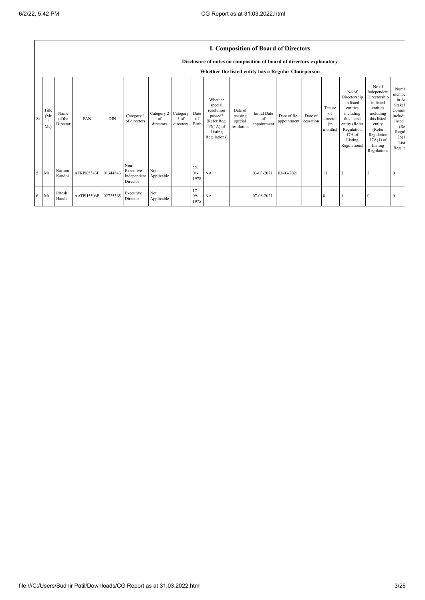|    |                      |                            |            |            |                                                |                               |                               |                          |                                                                                                      |                                             | <b>I. Composition of Board of Directors</b> |                            |                      |                                            |                                                                                                                                                |                                                                                                                                                                      |                                                                                                           |
|----|----------------------|----------------------------|------------|------------|------------------------------------------------|-------------------------------|-------------------------------|--------------------------|------------------------------------------------------------------------------------------------------|---------------------------------------------|---------------------------------------------|----------------------------|----------------------|--------------------------------------------|------------------------------------------------------------------------------------------------------------------------------------------------|----------------------------------------------------------------------------------------------------------------------------------------------------------------------|-----------------------------------------------------------------------------------------------------------|
|    |                      |                            |            |            |                                                |                               |                               |                          | Disclosure of notes on composition of board of directors explanatory                                 |                                             |                                             |                            |                      |                                            |                                                                                                                                                |                                                                                                                                                                      |                                                                                                           |
|    |                      |                            |            |            |                                                |                               |                               |                          | Whether the listed entity has a Regular Chairperson                                                  |                                             |                                             |                            |                      |                                            |                                                                                                                                                |                                                                                                                                                                      |                                                                                                           |
| Sr | Title<br>(Mr)<br>Ms) | Name<br>of the<br>Director | PAN        | <b>DIN</b> | Category 1<br>of directors                     | Category 2<br>of<br>directors | Category<br>3 of<br>directors | Date<br>of<br>Birth      | Whether<br>special<br>resolution<br>passed?<br>[Refer Reg.<br>$17(1A)$ of<br>Listing<br>Regulations] | Date of<br>passing<br>special<br>resolution | <b>Initial Date</b><br>of<br>appointment    | Date of Re-<br>appointment | Date of<br>cessation | Tenure<br>of<br>director<br>(in<br>months) | No of<br>Directorship<br>in listed<br>entities<br>including<br>this listed<br>entity (Refer<br>Regulation<br>17A of<br>Listing<br>Regulations) | No of<br>Independent<br>Directorship<br>in listed<br>entities<br>including<br>this listed<br>entity<br>(Refer<br>Regulation<br>$17A(1)$ of<br>Listing<br>Regulations | Numb<br>membe<br>in At<br>Stakel<br>Commi<br>includi<br>listed<br>(Re<br>Regul<br>26(1)<br>List<br>Regula |
| 5  | Mr                   | Karunn<br>Kandoi           | AFRPK5343L | 01344843   | Non-<br>Executive -<br>Independent<br>Director | Not<br>Applicable             |                               | $22 -$<br>$01 -$<br>1978 | NA                                                                                                   |                                             | 03-03-2021                                  | 03-03-2021                 |                      | 13                                         | 2                                                                                                                                              | $\overline{2}$                                                                                                                                                       | $\mathbf{0}$                                                                                              |
| 6  | Mr                   | Ritesh<br>Handa            | AATPH5506P | 02725365   | Executive<br>Director                          | Not<br>Applicable             |                               | $17 -$<br>$09-$<br>1975  | NA                                                                                                   |                                             | 07-08-2021                                  |                            |                      | 8                                          |                                                                                                                                                | $\Omega$                                                                                                                                                             | $\theta$                                                                                                  |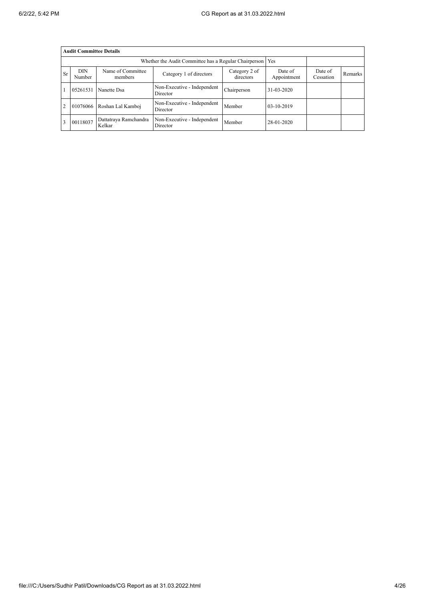|           | <b>Audit Committee Details</b> |                                 |                                                       |                            |                        |                      |                |
|-----------|--------------------------------|---------------------------------|-------------------------------------------------------|----------------------------|------------------------|----------------------|----------------|
|           |                                |                                 | Whether the Audit Committee has a Regular Chairperson |                            | Yes                    |                      |                |
| <b>Sr</b> | <b>DIN</b><br>Number           | Name of Committee<br>members    | Category 1 of directors                               | Category 2 of<br>directors | Date of<br>Appointment | Date of<br>Cessation | <b>Remarks</b> |
|           | 05261531                       | Nanette Dsa                     | Non-Executive - Independent<br>Director               | Chairperson                | 31-03-2020             |                      |                |
| 2         | 01076066                       | Roshan Lal Kamboj               | Non-Executive - Independent<br>Director               | Member                     | 03-10-2019             |                      |                |
|           | 00118037                       | Dattatraya Ramchandra<br>Kelkar | Non-Executive - Independent<br>Director               | Member                     | 28-01-2020             |                      |                |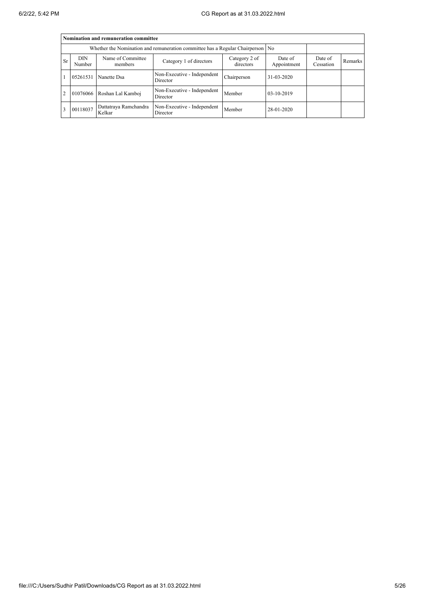|                |                      | Nomination and remuneration committee |                                                                                  |                            |                        |                      |         |
|----------------|----------------------|---------------------------------------|----------------------------------------------------------------------------------|----------------------------|------------------------|----------------------|---------|
|                |                      |                                       | Whether the Nomination and remuneration committee has a Regular Chairperson   No |                            |                        |                      |         |
| <b>Sr</b>      | <b>DIN</b><br>Number | Name of Committee<br>members          | Category 1 of directors                                                          | Category 2 of<br>directors | Date of<br>Appointment | Date of<br>Cessation | Remarks |
|                | 05261531             | Nanette Dsa                           | Non-Executive - Independent<br>Director                                          | Chairperson                | $31 - 03 - 2020$       |                      |         |
| $\overline{2}$ |                      | 01076066 Roshan Lal Kamboj            | Non-Executive - Independent<br>Director                                          | Member                     | $03-10-2019$           |                      |         |
| 3              | 00118037             | Dattatraya Ramchandra<br>Kelkar       | Non-Executive - Independent<br>Director                                          | Member                     | 28-01-2020             |                      |         |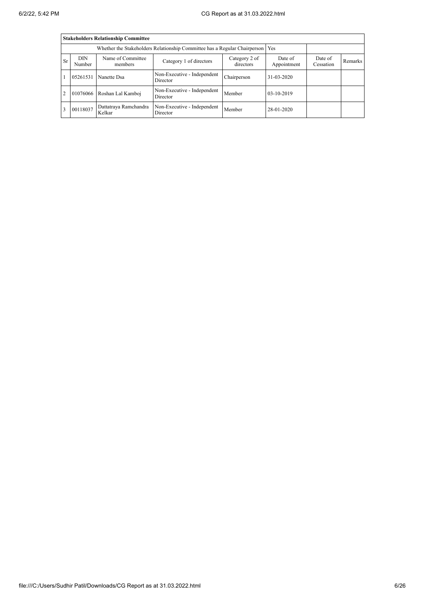|                |                      | <b>Stakeholders Relationship Committee</b> |                                                                           |                            |                        |                      |         |
|----------------|----------------------|--------------------------------------------|---------------------------------------------------------------------------|----------------------------|------------------------|----------------------|---------|
|                |                      |                                            | Whether the Stakeholders Relationship Committee has a Regular Chairperson |                            | Yes                    |                      |         |
| <b>Sr</b>      | <b>DIN</b><br>Number | Name of Committee<br>members               | Category 1 of directors                                                   | Category 2 of<br>directors | Date of<br>Appointment | Date of<br>Cessation | Remarks |
|                | 05261531             | Nanette Dsa                                | Non-Executive - Independent<br>Director                                   | Chairperson                | 31-03-2020             |                      |         |
| $\overline{2}$ | 01076066             | Roshan Lal Kamboj                          | Non-Executive - Independent<br>Director                                   | Member                     | $03-10-2019$           |                      |         |
| 3              | 00118037             | Dattatraya Ramchandra<br>Kelkar            | Non-Executive - Independent<br>Director                                   | Member                     | 28-01-2020             |                      |         |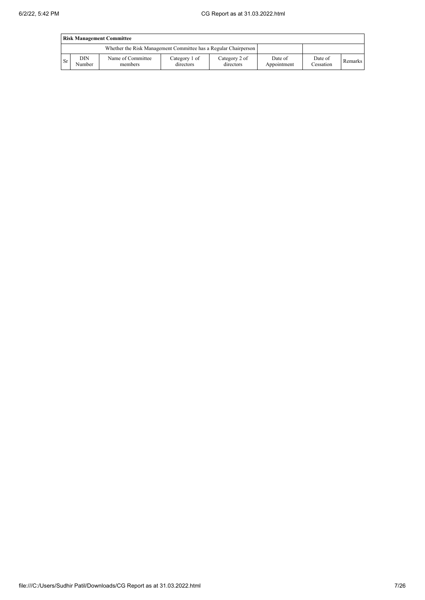|      | <b>Risk Management Committee</b> |                                                                 |                            |                            |                        |                      |         |  |
|------|----------------------------------|-----------------------------------------------------------------|----------------------------|----------------------------|------------------------|----------------------|---------|--|
|      |                                  | Whether the Risk Management Committee has a Regular Chairperson |                            |                            |                        |                      |         |  |
| l Sr | DIN<br>Number                    | Name of Committee<br>members                                    | Category 1 of<br>directors | Category 2 of<br>directors | Date of<br>Appointment | Date of<br>Cessation | Remarks |  |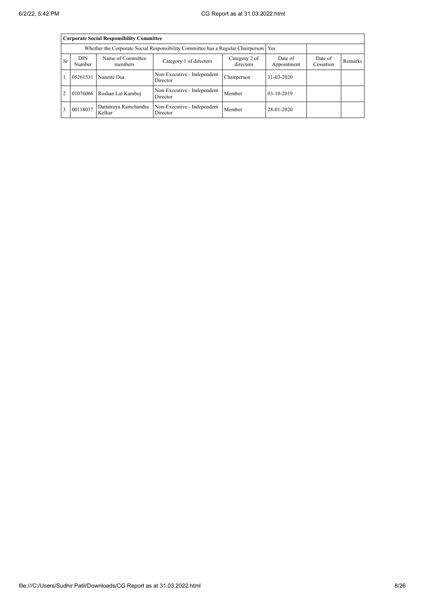|           |                      | <b>Corporate Social Responsibility Committee</b> |                                                                                 |                            |                        |                      |         |
|-----------|----------------------|--------------------------------------------------|---------------------------------------------------------------------------------|----------------------------|------------------------|----------------------|---------|
|           |                      |                                                  | Whether the Corporate Social Responsibility Committee has a Regular Chairperson |                            | Yes                    |                      |         |
| <b>Sr</b> | <b>DIN</b><br>Number | Name of Committee<br>members                     | Category 1 of directors                                                         | Category 2 of<br>directors | Date of<br>Appointment | Date of<br>Cessation | Remarks |
|           | 05261531             | Nanette Dsa                                      | Non-Executive - Independent<br>Director                                         | Chairperson                | $31 - 03 - 2020$       |                      |         |
| 2         |                      | 01076066 Roshan Lal Kamboj                       | Non-Executive - Independent<br>Director                                         | Member                     | $03-10-2019$           |                      |         |
| 3         | 00118037             | Dattatraya Ramchandra<br>Kelkar                  | Non-Executive - Independent<br>Director                                         | Member                     | 28-01-2020             |                      |         |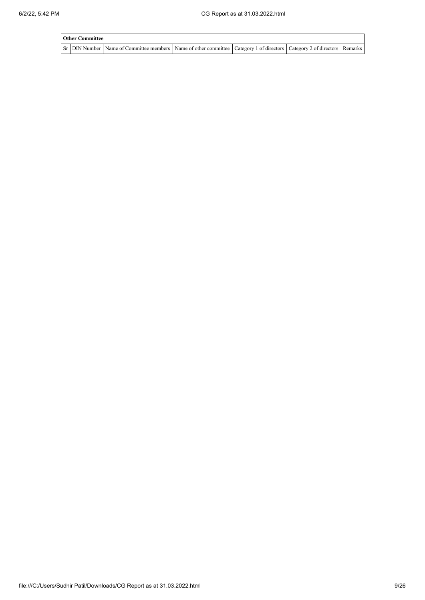| <b>Other Committee</b> |                                                                                                                                                  |  |  |
|------------------------|--------------------------------------------------------------------------------------------------------------------------------------------------|--|--|
|                        | Sr   DIN Number   Name of Committee members   Name of other committee   Category 1 of directors   Category 2 of directors   Remarks <sup> </sup> |  |  |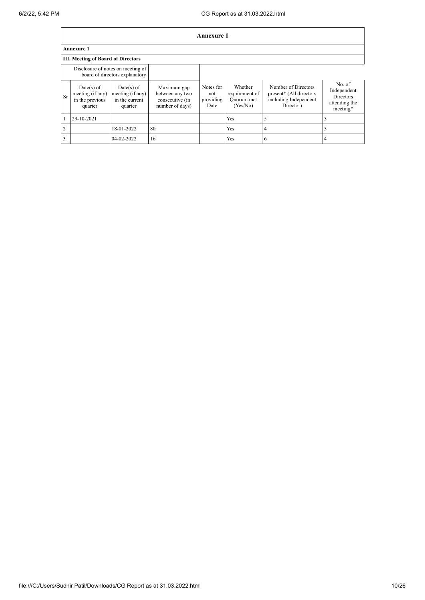|    |                                                                |                                                                     |                                                                      | <b>Annexure 1</b>                     |                                                     |                                                                                      |                                                                        |
|----|----------------------------------------------------------------|---------------------------------------------------------------------|----------------------------------------------------------------------|---------------------------------------|-----------------------------------------------------|--------------------------------------------------------------------------------------|------------------------------------------------------------------------|
|    | <b>Annexure 1</b>                                              |                                                                     |                                                                      |                                       |                                                     |                                                                                      |                                                                        |
|    | <b>III. Meeting of Board of Directors</b>                      |                                                                     |                                                                      |                                       |                                                     |                                                                                      |                                                                        |
|    |                                                                | Disclosure of notes on meeting of<br>board of directors explanatory |                                                                      |                                       |                                                     |                                                                                      |                                                                        |
| Sr | $Date(s)$ of<br>meeting (if any)<br>in the previous<br>quarter | $Date(s)$ of<br>meeting (if any)<br>in the current<br>quarter       | Maximum gap<br>between any two<br>consecutive (in<br>number of days) | Notes for<br>not<br>providing<br>Date | Whether<br>requirement of<br>Quorum met<br>(Yes/No) | Number of Directors<br>present* (All directors<br>including Independent<br>Director) | No. of<br>Independent<br><b>Directors</b><br>attending the<br>meeting* |
|    | 29-10-2021                                                     |                                                                     |                                                                      |                                       | <b>Yes</b>                                          | 5                                                                                    |                                                                        |
| 2  |                                                                | 18-01-2022                                                          | 80                                                                   |                                       | Yes                                                 | $\overline{4}$                                                                       |                                                                        |
| 3  |                                                                | 04-02-2022                                                          | 16                                                                   |                                       | Yes                                                 | 6                                                                                    | 4                                                                      |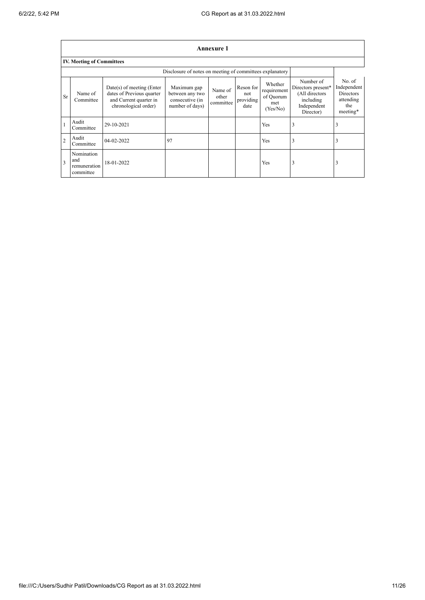$\overline{\phantom{a}}$ 

| Annexure 1     |                                                                                                                                                                                                                                                                                                                                                |            |                                                          |  |  |                                                                                            |                                                                           |   |
|----------------|------------------------------------------------------------------------------------------------------------------------------------------------------------------------------------------------------------------------------------------------------------------------------------------------------------------------------------------------|------------|----------------------------------------------------------|--|--|--------------------------------------------------------------------------------------------|---------------------------------------------------------------------------|---|
|                | <b>IV. Meeting of Committees</b>                                                                                                                                                                                                                                                                                                               |            |                                                          |  |  |                                                                                            |                                                                           |   |
|                |                                                                                                                                                                                                                                                                                                                                                |            | Disclosure of notes on meeting of committees explanatory |  |  |                                                                                            |                                                                           |   |
| Sr             | Whether<br>$Date(s)$ of meeting (Enter<br>Maximum gap<br>Reson for<br>Name of<br>requirement<br>dates of Previous quarter<br>Name of<br>between any two<br>not<br>of Quorum<br>other<br>providing<br>and Current quarter in<br>Committee<br>consecutive (in<br>committee<br>met<br>chronological order)<br>number of days)<br>date<br>(Yes/No) |            |                                                          |  |  | Number of<br>Directors present*<br>(All directors<br>including<br>Independent<br>Director) | No. of<br>Independent<br><b>Directors</b><br>attending<br>the<br>meeting* |   |
|                | Audit<br>Committee                                                                                                                                                                                                                                                                                                                             | 29-10-2021 |                                                          |  |  | Yes                                                                                        | 3                                                                         | 3 |
| $\overline{2}$ | Audit<br>Committee                                                                                                                                                                                                                                                                                                                             | 04-02-2022 | 97                                                       |  |  | Yes                                                                                        | 3                                                                         | 3 |
| 3              | Nomination<br>and<br>remuneration<br>committee                                                                                                                                                                                                                                                                                                 | 18-01-2022 |                                                          |  |  | Yes                                                                                        | 3                                                                         | 3 |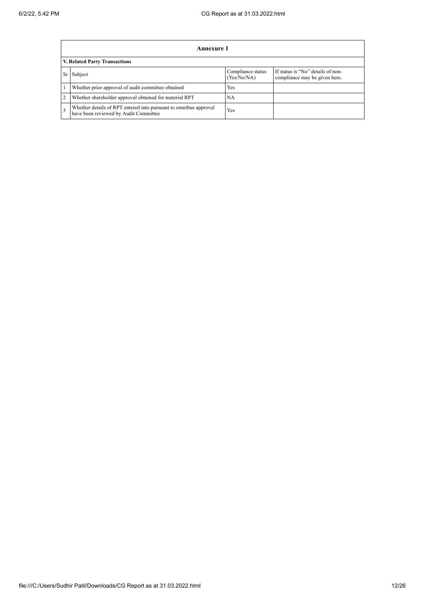|                | Annexure 1                                                                                                |                                  |                                                                    |
|----------------|-----------------------------------------------------------------------------------------------------------|----------------------------------|--------------------------------------------------------------------|
|                | <b>V. Related Party Transactions</b>                                                                      |                                  |                                                                    |
| Sr             | Subject                                                                                                   | Compliance status<br>(Yes/No/NA) | If status is "No" details of non-<br>compliance may be given here. |
|                | Whether prior approval of audit committee obtained                                                        | Yes                              |                                                                    |
| $\overline{2}$ | Whether shareholder approval obtained for material RPT                                                    | NA                               |                                                                    |
| 3              | Whether details of RPT entered into pursuant to omnibus approval<br>have been reviewed by Audit Committee | Yes                              |                                                                    |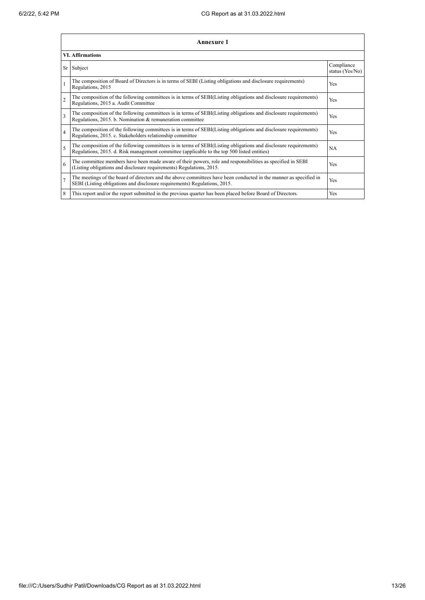|                | <b>Annexure 1</b>                                                                                                                                                                                               |                               |
|----------------|-----------------------------------------------------------------------------------------------------------------------------------------------------------------------------------------------------------------|-------------------------------|
|                | <b>VI.</b> Affirmations                                                                                                                                                                                         |                               |
|                | Sr Subject                                                                                                                                                                                                      | Compliance<br>status (Yes/No) |
|                | The composition of Board of Directors is in terms of SEBI (Listing obligations and disclosure requirements)<br>Regulations, 2015                                                                                | Yes                           |
| $\overline{2}$ | The composition of the following committees is in terms of SEBI(Listing obligations and disclosure requirements)<br>Regulations, 2015 a. Audit Committee                                                        | Yes                           |
| 3              | The composition of the following committees is in terms of SEBI(Listing obligations and disclosure requirements)<br>Regulations, 2015. b. Nomination & remuneration committee                                   | Yes                           |
| $\overline{4}$ | The composition of the following committees is in terms of SEBI(Listing obligations and disclosure requirements)<br>Regulations, 2015. c. Stakeholders relationship committee                                   | Yes                           |
| 5              | The composition of the following committees is in terms of SEBI(Listing obligations and disclosure requirements)<br>Regulations, 2015. d. Risk management committee (applicable to the top 500 listed entities) | NA                            |
| 6              | The committee members have been made aware of their powers, role and responsibilities as specified in SEBI<br>(Listing obligations and disclosure requirements) Regulations, 2015.                              | Yes                           |
| $\overline{7}$ | The meetings of the board of directors and the above committees have been conducted in the manner as specified in<br>SEBI (Listing obligations and disclosure requirements) Regulations, 2015.                  | Yes                           |
| 8              | This report and/or the report submitted in the previous quarter has been placed before Board of Directors.                                                                                                      | Yes                           |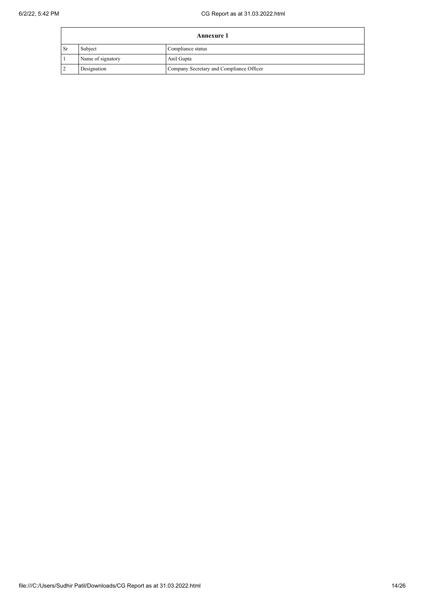|                | <b>Annexure 1</b> |                                          |  |  |
|----------------|-------------------|------------------------------------------|--|--|
| $\mathsf{S}_r$ | Subject           | Compliance status                        |  |  |
|                | Name of signatory | Anil Gupta                               |  |  |
|                | Designation       | Company Secretary and Compliance Officer |  |  |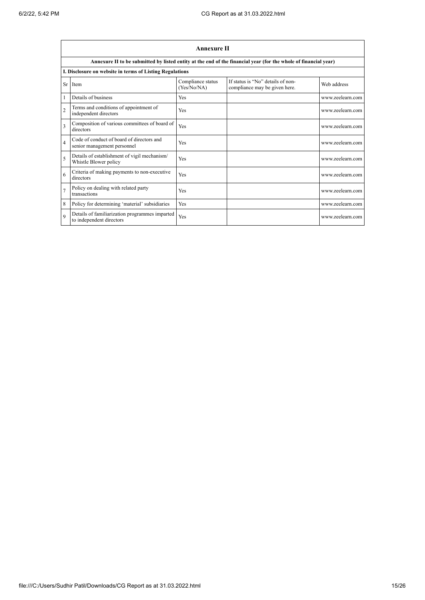|                          | <b>Annexure II</b>                                                         |                                  |                                                                                                                 |                  |  |  |
|--------------------------|----------------------------------------------------------------------------|----------------------------------|-----------------------------------------------------------------------------------------------------------------|------------------|--|--|
|                          |                                                                            |                                  | Annexure II to be submitted by listed entity at the end of the financial year (for the whole of financial year) |                  |  |  |
|                          | I. Disclosure on website in terms of Listing Regulations                   |                                  |                                                                                                                 |                  |  |  |
| Sr.                      | Item                                                                       | Compliance status<br>(Yes/No/NA) | If status is "No" details of non-<br>compliance may be given here.                                              | Web address      |  |  |
|                          | Details of business                                                        | Yes                              |                                                                                                                 | www.zeelearn.com |  |  |
| $\overline{2}$           | Terms and conditions of appointment of<br>independent directors            | Yes                              |                                                                                                                 | www.zeelearn.com |  |  |
| 3                        | Composition of various committees of board of<br>directors                 | Yes                              |                                                                                                                 | www.zeelearn.com |  |  |
| $\overline{4}$           | Code of conduct of board of directors and<br>senior management personnel   | Yes                              |                                                                                                                 | www.zeelearn.com |  |  |
| $\overline{\phantom{0}}$ | Details of establishment of vigil mechanism/<br>Whistle Blower policy      | Yes                              |                                                                                                                 | www.zeelearn.com |  |  |
| 6                        | Criteria of making payments to non-executive<br>directors                  | Yes                              |                                                                                                                 | www.zeelearn.com |  |  |
| $\overline{7}$           | Policy on dealing with related party<br>transactions                       | Yes                              |                                                                                                                 | www.zeelearn.com |  |  |
| 8                        | Policy for determining 'material' subsidiaries                             | Yes                              |                                                                                                                 | www.zeelearn.com |  |  |
| $\mathbf Q$              | Details of familiarization programmes imparted<br>to independent directors | Yes                              |                                                                                                                 | www.zeelearn.com |  |  |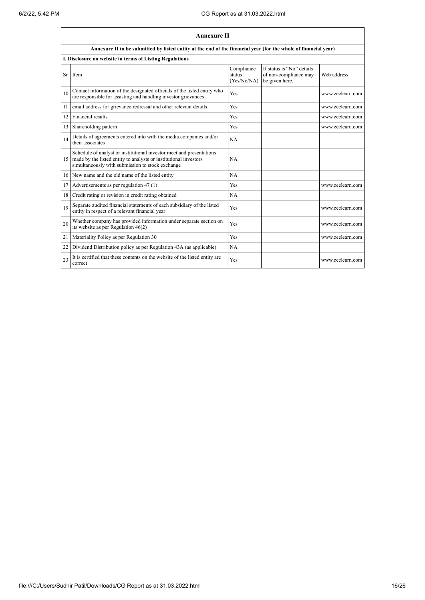|    | <b>Annexure II</b>                                                                                                                                                                           |                                     |                                                                      |                  |  |
|----|----------------------------------------------------------------------------------------------------------------------------------------------------------------------------------------------|-------------------------------------|----------------------------------------------------------------------|------------------|--|
|    | Annexure II to be submitted by listed entity at the end of the financial year (for the whole of financial year)                                                                              |                                     |                                                                      |                  |  |
|    | I. Disclosure on website in terms of Listing Regulations                                                                                                                                     |                                     |                                                                      |                  |  |
| Sr | Item                                                                                                                                                                                         | Compliance<br>status<br>(Yes/No/NA) | If status is "No" details<br>of non-compliance may<br>be given here. | Web address      |  |
| 10 | Contact information of the designated officials of the listed entity who<br>are responsible for assisting and handling investor grievances                                                   | Yes                                 |                                                                      | www.zeelearn.com |  |
| 11 | email address for grievance redressal and other relevant details                                                                                                                             | Yes                                 |                                                                      | www.zeelearn.com |  |
| 12 | Financial results                                                                                                                                                                            | Yes                                 |                                                                      | www.zeelearn.com |  |
| 13 | Shareholding pattern                                                                                                                                                                         | Yes                                 |                                                                      | www.zeelearn.com |  |
| 14 | Details of agreements entered into with the media companies and/or<br>their associates                                                                                                       | <b>NA</b>                           |                                                                      |                  |  |
| 15 | Schedule of analyst or institutional investor meet and presentations<br>made by the listed entity to analysts or institutional investors<br>simultaneously with submission to stock exchange | <b>NA</b>                           |                                                                      |                  |  |
| 16 | New name and the old name of the listed entity                                                                                                                                               | NA                                  |                                                                      |                  |  |
| 17 | Advertisements as per regulation 47 (1)                                                                                                                                                      | Yes                                 |                                                                      | www.zeelearn.com |  |
| 18 | Credit rating or revision in credit rating obtained                                                                                                                                          | NA                                  |                                                                      |                  |  |
| 19 | Separate audited financial statements of each subsidiary of the listed<br>entity in respect of a relevant financial year                                                                     | Yes                                 |                                                                      | www.zeelearn.com |  |
| 20 | Whether company has provided information under separate section on<br>its website as per Regulation 46(2)                                                                                    | Yes                                 |                                                                      | www.zeelearn.com |  |
| 21 | Materiality Policy as per Regulation 30                                                                                                                                                      | Yes                                 |                                                                      | www.zeelearn.com |  |
| 22 | Dividend Distribution policy as per Regulation 43A (as applicable)                                                                                                                           | NA                                  |                                                                      |                  |  |
| 23 | It is certified that these contents on the website of the listed entity are<br>correct                                                                                                       | Yes                                 |                                                                      | www.zeelearn.com |  |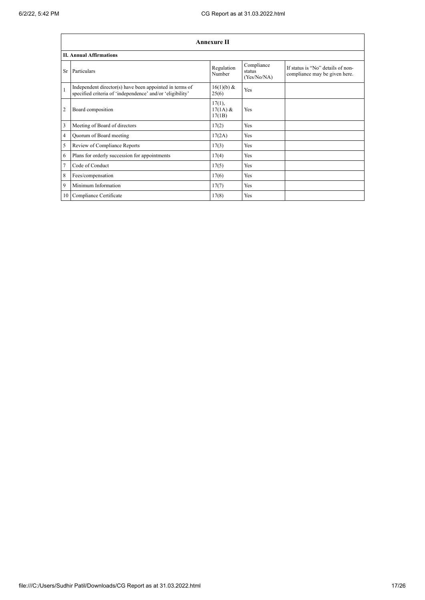|                | <b>Annexure II</b>                                                                                                   |                                   |                                     |                                                                    |  |  |
|----------------|----------------------------------------------------------------------------------------------------------------------|-----------------------------------|-------------------------------------|--------------------------------------------------------------------|--|--|
|                | <b>II. Annual Affirmations</b>                                                                                       |                                   |                                     |                                                                    |  |  |
| Sr.            | Particulars                                                                                                          | Regulation<br>Number              | Compliance<br>status<br>(Yes/No/NA) | If status is "No" details of non-<br>compliance may be given here. |  |  |
| $\mathbf{1}$   | Independent director(s) have been appointed in terms of<br>specified criteria of 'independence' and/or 'eligibility' | 16(1)(b) &<br>25(6)               | Yes                                 |                                                                    |  |  |
| $\overline{2}$ | Board composition                                                                                                    | $17(1)$ ,<br>$17(1A)$ &<br>17(1B) | Yes                                 |                                                                    |  |  |
| 3              | Meeting of Board of directors                                                                                        | 17(2)                             | Yes                                 |                                                                    |  |  |
| $\overline{4}$ | Quorum of Board meeting                                                                                              | 17(2A)                            | Yes                                 |                                                                    |  |  |
| 5              | Review of Compliance Reports                                                                                         | 17(3)                             | <b>Yes</b>                          |                                                                    |  |  |
| 6              | Plans for orderly succession for appointments                                                                        | 17(4)                             | <b>Yes</b>                          |                                                                    |  |  |
| $\tau$         | Code of Conduct                                                                                                      | 17(5)                             | Yes                                 |                                                                    |  |  |
| 8              | Fees/compensation                                                                                                    | 17(6)                             | Yes                                 |                                                                    |  |  |
| 9              | Minimum Information                                                                                                  | 17(7)                             | Yes                                 |                                                                    |  |  |
| 10             | Compliance Certificate                                                                                               | 17(8)                             | Yes                                 |                                                                    |  |  |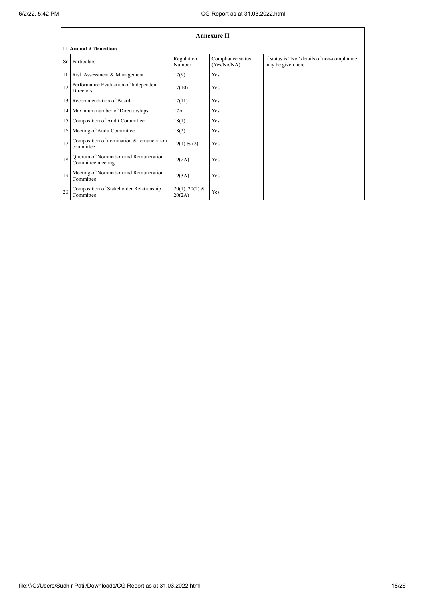|    | <b>Annexure II</b>                                         |                            |                                  |                                                                   |  |  |
|----|------------------------------------------------------------|----------------------------|----------------------------------|-------------------------------------------------------------------|--|--|
|    | <b>II. Annual Affirmations</b>                             |                            |                                  |                                                                   |  |  |
| Sr | Particulars                                                | Regulation<br>Number       | Compliance status<br>(Yes/No/NA) | If status is "No" details of non-compliance<br>may be given here. |  |  |
| 11 | Risk Assessment & Management                               | 17(9)                      | <b>Yes</b>                       |                                                                   |  |  |
| 12 | Performance Evaluation of Independent<br><b>Directors</b>  | 17(10)                     | Yes                              |                                                                   |  |  |
| 13 | Recommendation of Board                                    | 17(11)                     | <b>Yes</b>                       |                                                                   |  |  |
|    | 14 Maximum number of Directorships                         | 17A                        | <b>Yes</b>                       |                                                                   |  |  |
| 15 | Composition of Audit Committee                             | 18(1)                      | <b>Yes</b>                       |                                                                   |  |  |
|    | 16 Meeting of Audit Committee                              | 18(2)                      | Yes                              |                                                                   |  |  |
| 17 | Composition of nomination & remuneration<br>committee      | 19(1) & (2)                | Yes                              |                                                                   |  |  |
| 18 | Quorum of Nomination and Remuneration<br>Committee meeting | 19(2A)                     | Yes                              |                                                                   |  |  |
| 19 | Meeting of Nomination and Remuneration<br>Committee        | 19(3A)                     | Yes                              |                                                                   |  |  |
| 20 | Composition of Stakeholder Relationship<br>Committee       | $20(1), 20(2)$ &<br>20(2A) | Yes                              |                                                                   |  |  |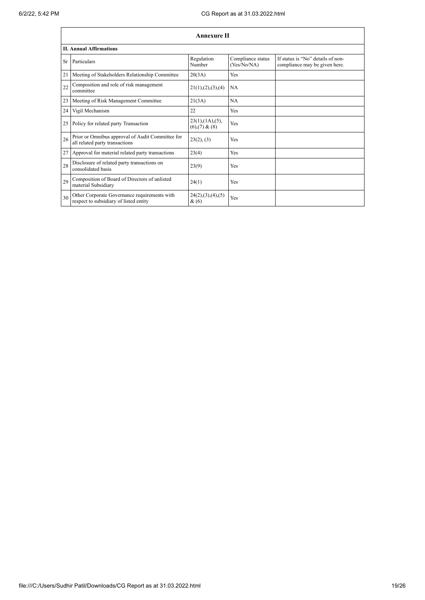|    | <b>Annexure II</b>                                                                     |                                                     |                                  |                                                                    |  |
|----|----------------------------------------------------------------------------------------|-----------------------------------------------------|----------------------------------|--------------------------------------------------------------------|--|
|    | <b>II. Annual Affirmations</b>                                                         |                                                     |                                  |                                                                    |  |
| Sr | Particulars                                                                            | Regulation<br>Number                                | Compliance status<br>(Yes/No/NA) | If status is "No" details of non-<br>compliance may be given here. |  |
| 21 | Meeting of Stakeholders Relationship Committee                                         | 20(3A)                                              | Yes                              |                                                                    |  |
| 22 | Composition and role of risk management<br>committee                                   | 21(1), (2), (3), (4)                                | NA                               |                                                                    |  |
| 23 | Meeting of Risk Management Committee                                                   | 21(3A)                                              | <b>NA</b>                        |                                                                    |  |
| 24 | Vigil Mechanism                                                                        | 22                                                  | Yes                              |                                                                    |  |
| 25 | Policy for related party Transaction                                                   | $23(1)$ , $(1A)$ , $(5)$ ,<br>$(6)$ , $(7)$ & $(8)$ | Yes                              |                                                                    |  |
| 26 | Prior or Omnibus approval of Audit Committee for<br>all related party transactions     | 23(2), (3)                                          | Yes                              |                                                                    |  |
| 27 | Approval for material related party transactions                                       | 23(4)                                               | Yes                              |                                                                    |  |
| 28 | Disclosure of related party transactions on<br>consolidated basis                      | 23(9)                                               | Yes                              |                                                                    |  |
| 29 | Composition of Board of Directors of unlisted<br>material Subsidiary                   | 24(1)                                               | Yes                              |                                                                    |  |
| 30 | Other Corporate Governance requirements with<br>respect to subsidiary of listed entity | 24(2),(3),(4),(5)<br>$\&(6)$                        | Yes                              |                                                                    |  |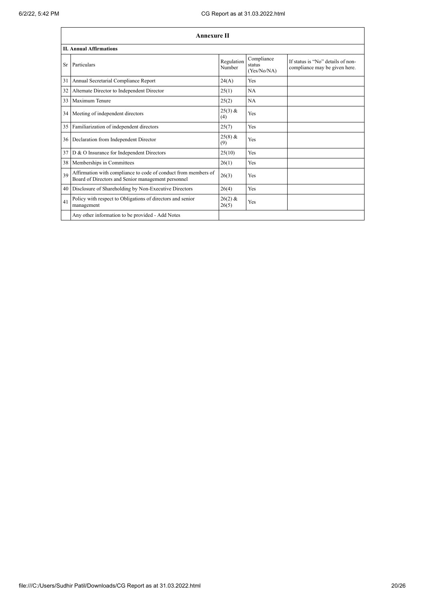|    | <b>Annexure II</b>                                                                                                   |                      |                                     |                                                                    |  |
|----|----------------------------------------------------------------------------------------------------------------------|----------------------|-------------------------------------|--------------------------------------------------------------------|--|
|    | <b>II. Annual Affirmations</b>                                                                                       |                      |                                     |                                                                    |  |
| Sr | Particulars                                                                                                          | Regulation<br>Number | Compliance<br>status<br>(Yes/No/NA) | If status is "No" details of non-<br>compliance may be given here. |  |
| 31 | Annual Secretarial Compliance Report                                                                                 | 24(A)                | <b>Yes</b>                          |                                                                    |  |
| 32 | Alternate Director to Independent Director                                                                           | 25(1)                | NA                                  |                                                                    |  |
| 33 | Maximum Tenure                                                                                                       | 25(2)                | NA                                  |                                                                    |  |
| 34 | Meeting of independent directors                                                                                     | $25(3)$ &<br>(4)     | Yes                                 |                                                                    |  |
| 35 | Familiarization of independent directors                                                                             | 25(7)                | Yes                                 |                                                                    |  |
| 36 | Declaration from Independent Director                                                                                | $25(8)$ &<br>(9)     | Yes                                 |                                                                    |  |
| 37 | D & O Insurance for Independent Directors                                                                            | 25(10)               | Yes                                 |                                                                    |  |
| 38 | Memberships in Committees                                                                                            | 26(1)                | Yes                                 |                                                                    |  |
| 39 | Affirmation with compliance to code of conduct from members of<br>Board of Directors and Senior management personnel | 26(3)                | Yes                                 |                                                                    |  |
| 40 | Disclosure of Shareholding by Non-Executive Directors                                                                | 26(4)                | Yes                                 |                                                                    |  |
| 41 | Policy with respect to Obligations of directors and senior<br>management                                             | $26(2)$ &<br>26(5)   | Yes                                 |                                                                    |  |
|    | Any other information to be provided - Add Notes                                                                     |                      |                                     |                                                                    |  |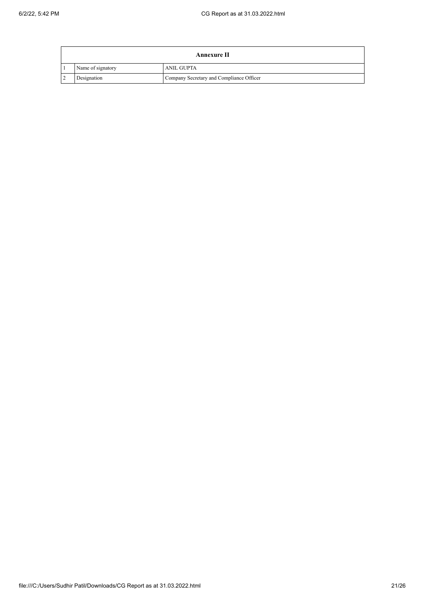| Annexure II       |                                          |  |  |
|-------------------|------------------------------------------|--|--|
| Name of signatory | <b>ANIL GUPTA</b>                        |  |  |
| Designation       | Company Secretary and Compliance Officer |  |  |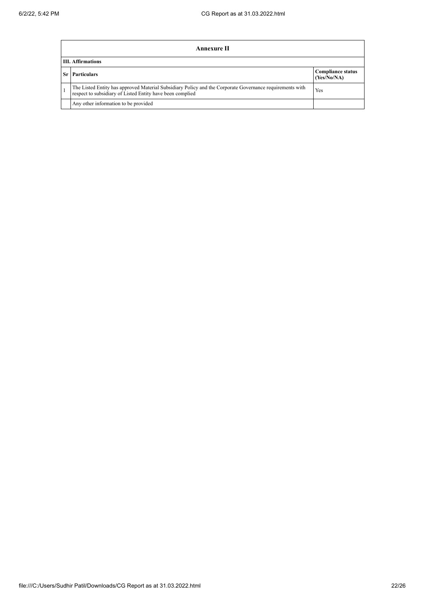|    | Annexure II                                                                                                                                                           |                                         |  |  |
|----|-----------------------------------------------------------------------------------------------------------------------------------------------------------------------|-----------------------------------------|--|--|
|    | <b>III.</b> Affirmations                                                                                                                                              |                                         |  |  |
| Sr | <b>Particulars</b>                                                                                                                                                    | <b>Compliance status</b><br>(Yes/No/NA) |  |  |
|    | The Listed Entity has approved Material Subsidiary Policy and the Corporate Governance requirements with<br>respect to subsidiary of Listed Entity have been complied | Yes                                     |  |  |
|    | Any other information to be provided                                                                                                                                  |                                         |  |  |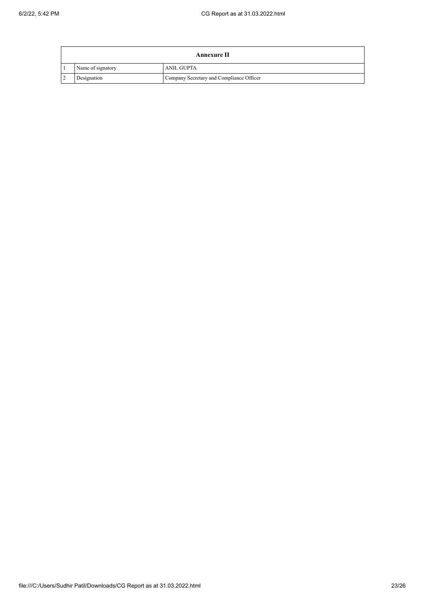| Annexure II       |                                          |  |  |
|-------------------|------------------------------------------|--|--|
| Name of signatory | <b>ANIL GUPTA</b>                        |  |  |
| Designation       | Company Secretary and Compliance Officer |  |  |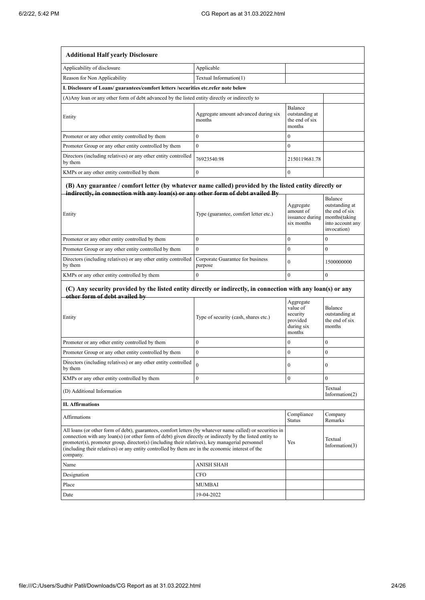| <b>Additional Half yearly Disclosure</b>                                                                                                                                                                                                                                                                                                                                                                                                |                                                |                                                                       |                                                                                                 |
|-----------------------------------------------------------------------------------------------------------------------------------------------------------------------------------------------------------------------------------------------------------------------------------------------------------------------------------------------------------------------------------------------------------------------------------------|------------------------------------------------|-----------------------------------------------------------------------|-------------------------------------------------------------------------------------------------|
| Applicability of disclosure                                                                                                                                                                                                                                                                                                                                                                                                             | Applicable                                     |                                                                       |                                                                                                 |
| Reason for Non Applicability                                                                                                                                                                                                                                                                                                                                                                                                            | Textual Information(1)                         |                                                                       |                                                                                                 |
| I. Disclosure of Loans/ guarantees/comfort letters /securities etc.refer note below                                                                                                                                                                                                                                                                                                                                                     |                                                |                                                                       |                                                                                                 |
| (A) Any loan or any other form of debt advanced by the listed entity directly or indirectly to                                                                                                                                                                                                                                                                                                                                          |                                                |                                                                       |                                                                                                 |
| Entity                                                                                                                                                                                                                                                                                                                                                                                                                                  | Aggregate amount advanced during six<br>months | Balance<br>outstanding at<br>the end of six<br>months                 |                                                                                                 |
| Promoter or any other entity controlled by them                                                                                                                                                                                                                                                                                                                                                                                         | $\overline{0}$                                 | $\mathbf{0}$                                                          |                                                                                                 |
| Promoter Group or any other entity controlled by them                                                                                                                                                                                                                                                                                                                                                                                   | $\mathbf{0}$                                   | $\mathbf{0}$                                                          |                                                                                                 |
| Directors (including relatives) or any other entity controlled<br>by them                                                                                                                                                                                                                                                                                                                                                               | 76923540.98                                    | 2150119681.78                                                         |                                                                                                 |
| KMPs or any other entity controlled by them                                                                                                                                                                                                                                                                                                                                                                                             | $\theta$                                       | $\mathbf{0}$                                                          |                                                                                                 |
| (B) Any guarantee / comfort letter (by whatever name called) provided by the listed entity directly or<br>indirectly, in connection with any loan(s) or any other form of debt availed By<br>Entity                                                                                                                                                                                                                                     | Type (guarantee, comfort letter etc.)          | Aggregate<br>amount of<br>issuance during<br>six months               | Balance<br>outstanding at<br>the end of six<br>months(taking<br>into account any<br>invocation) |
| Promoter or any other entity controlled by them                                                                                                                                                                                                                                                                                                                                                                                         | $\mathbf{0}$                                   | $\bf{0}$                                                              | $\mathbf{0}$                                                                                    |
| Promoter Group or any other entity controlled by them                                                                                                                                                                                                                                                                                                                                                                                   | $\mathbf{0}$                                   | $\mathbf{0}$                                                          | $\mathbf{0}$                                                                                    |
| Directors (including relatives) or any other entity controlled<br>by them                                                                                                                                                                                                                                                                                                                                                               | Corporate Guarantee for business<br>purpose    | $\mathbf{0}$                                                          | 1500000000                                                                                      |
| KMPs or any other entity controlled by them                                                                                                                                                                                                                                                                                                                                                                                             | $\bf{0}$                                       | $\mathbf{0}$                                                          | $\mathbf{0}$                                                                                    |
| (C) Any security provided by the listed entity directly or indirectly, in connection with any loan(s) or any<br>other form of debt availed by                                                                                                                                                                                                                                                                                           |                                                |                                                                       |                                                                                                 |
| Entity                                                                                                                                                                                                                                                                                                                                                                                                                                  | Type of security (cash, shares etc.)           | Aggregate<br>value of<br>security<br>provided<br>during six<br>months | Balance<br>outstanding at<br>the end of six<br>months                                           |
| Promoter or any other entity controlled by them                                                                                                                                                                                                                                                                                                                                                                                         | $\boldsymbol{0}$                               | $\boldsymbol{0}$                                                      | $\bf{0}$                                                                                        |
| Promoter Group or any other entity controlled by them                                                                                                                                                                                                                                                                                                                                                                                   | $\mathbf{0}$                                   | $\mathbf{0}$                                                          | $\boldsymbol{0}$                                                                                |
| Directors (including relatives) or any other entity controlled<br>by them                                                                                                                                                                                                                                                                                                                                                               | 0                                              | 0                                                                     | 0                                                                                               |
| KMPs or any other entity controlled by them                                                                                                                                                                                                                                                                                                                                                                                             | $\boldsymbol{0}$                               | $\mathbf{0}$                                                          | $\mathbf{0}$                                                                                    |
| (D) Additional Information                                                                                                                                                                                                                                                                                                                                                                                                              |                                                |                                                                       | Textual<br>Information $(2)$                                                                    |
| <b>II. Affirmations</b>                                                                                                                                                                                                                                                                                                                                                                                                                 |                                                |                                                                       |                                                                                                 |
| Affirmations                                                                                                                                                                                                                                                                                                                                                                                                                            |                                                | Compliance<br><b>Status</b>                                           | Company<br>Remarks                                                                              |
| All loans (or other form of debt), guarantees, comfort letters (by whatever name called) or securities in<br>connection with any loan(s) (or other form of debt) given directly or indirectly by the listed entity to<br>promoter(s), promoter group, director(s) (including their relatives), key managerial personnel<br>(including their relatives) or any entity controlled by them are in the economic interest of the<br>company. |                                                | Yes                                                                   | Textual<br>Information $(3)$                                                                    |
| Name                                                                                                                                                                                                                                                                                                                                                                                                                                    | <b>ANISH SHAH</b>                              |                                                                       |                                                                                                 |
| Designation                                                                                                                                                                                                                                                                                                                                                                                                                             | <b>CFO</b>                                     |                                                                       |                                                                                                 |
| Place                                                                                                                                                                                                                                                                                                                                                                                                                                   | <b>MUMBAI</b>                                  |                                                                       |                                                                                                 |
| Date                                                                                                                                                                                                                                                                                                                                                                                                                                    | 19-04-2022                                     |                                                                       |                                                                                                 |